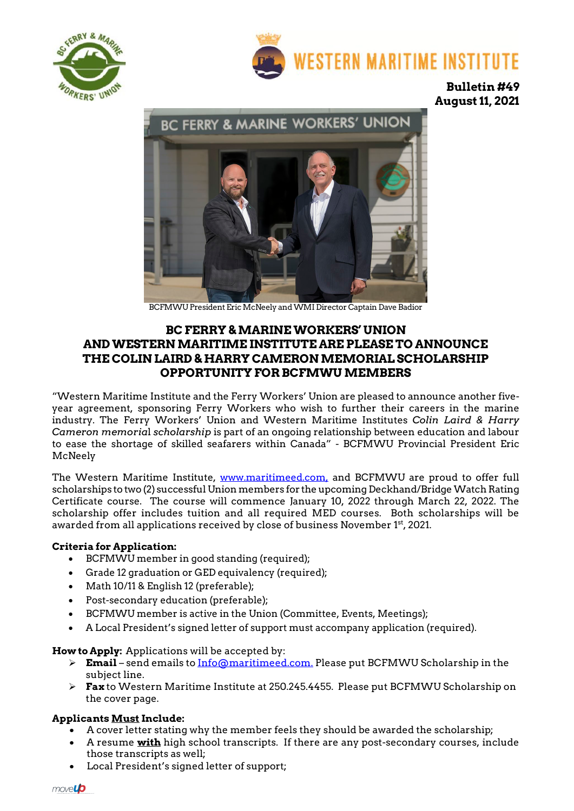



**Bulletin #49 August 11, 2021**



BCFMWU President Eric McNeely and WMI Director Captain Dave Badior

# **BC FERRY & MARINE WORKERS' UNION AND WESTERN MARITIME INSTITUTE ARE PLEASE TO ANNOUNCE THE COLIN LAIRD & HARRY CAMERON MEMORIAL SCHOLARSHIP OPPORTUNITY FOR BCFMWU MEMBERS**

"Western Maritime Institute and the Ferry Workers' Union are pleased to announce another fiveyear agreement, sponsoring Ferry Workers who wish to further their careers in the marine industry. The Ferry Workers' Union and Western Maritime Institutes *Colin Laird & Harry Cameron memoria*l *scholarship* is part of an ongoing relationship between education and labour to ease the shortage of skilled seafarers within Canada" - BCFMWU Provincial President Eric McNeely

The Western Maritime Institute, [www.maritimeed.com,](http://www.maritimeed.com/) and BCFMWU are proud to offer full scholarships to two (2) successful Union members for the upcoming Deckhand/Bridge Watch Rating Certificate course. The course will commence January 10, 2022 through March 22, 2022. The scholarship offer includes tuition and all required MED courses. Both scholarships will be awarded from all applications received by close of business November 1<sup>st</sup>, 2021.

### **Criteria for Application:**

- BCFMWU member in good standing (required);
- Grade 12 graduation or GED equivalency (required);
- Math 10/11 & English 12 (preferable);
- Post-secondary education (preferable);
- BCFMWU member is active in the Union (Committee, Events, Meetings);
- A Local President's signed letter of support must accompany application (required).

**How to Apply:** Applications will be accepted by:

- **Email** send emails to [Info@maritimeed.com.](mailto:Info@maritimeed.com) Please put BCFMWU Scholarship in the subject line.
- **Fax** to Western Maritime Institute at 250.245.4455. Please put BCFMWU Scholarship on the cover page.

### **Applicants Must Include:**

- A cover letter stating why the member feels they should be awarded the scholarship;
- A resume **with** high school transcripts. If there are any post-secondary courses, include those transcripts as well;
- Local President's signed letter of support;